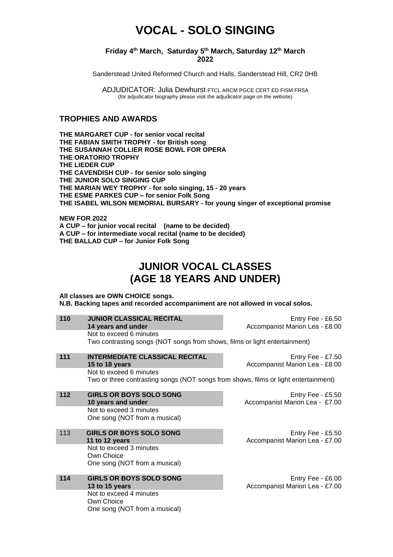# **VOCAL - SOLO SINGING**

#### **Friday 4 th March, Saturday 5 th March, Saturday 12th March 2022**

Sanderstead United Reformed Church and Halls, Sanderstead Hill, CR2 0HB

ADJUDICATOR: Julia Dewhurst FTCL ARCM PGCE CERT ED FISM FRSA (for adjudicator biography please visit the adjudicator page on the website)

### **TROPHIES AND AWARDS**

**THE MARGARET CUP - for senior vocal recital THE FABIAN SMITH TROPHY - for British song THE SUSANNAH COLLIER ROSE BOWL FOR OPERA THE ORATORIO TROPHY THE LIEDER CUP THE CAVENDISH CUP - for senior solo singing THE JUNIOR SOLO SINGING CUP THE MARIAN WEY TROPHY - for solo singing, 15 - 20 years THE ESME PARKES CUP – for senior Folk Song THE ISABEL WILSON MEMORIAL BURSARY - for young singer of exceptional promise**

**NEW FOR 2022 A CUP – for junior vocal recital (name to be decided) A CUP – for intermediate vocal recital (name to be decided) THE BALLAD CUP – for Junior Folk Song**

# **JUNIOR VOCAL CLASSES (AGE 18 YEARS AND UNDER)**

**All classes are OWN CHOICE songs. N.B. Backing tapes and recorded accompaniment are not allowed in vocal solos.**

| 110 | <b>JUNIOR CLASSICAL RECITAL</b>                                                     | Entry Fee - £6.50              |
|-----|-------------------------------------------------------------------------------------|--------------------------------|
|     | 14 years and under                                                                  | Accompanist Marion Lea - £8.00 |
|     | Not to exceed 6 minutes                                                             |                                |
|     | Two contrasting songs (NOT songs from shows, films or light entertainment)          |                                |
| 111 | <b>INTERMEDIATE CLASSICAL RECITAL</b>                                               | Entry Fee - $£7.50$            |
|     | 15 to 18 years                                                                      | Accompanist Marion Lea - £8.00 |
|     | Not to exceed 6 minutes                                                             |                                |
|     | Two or three contrasting songs (NOT songs from shows, films or light entertainment) |                                |
|     |                                                                                     |                                |
| 112 | <b>GIRLS OR BOYS SOLO SONG</b>                                                      | Entry Fee - £5.50              |
|     | 10 years and under                                                                  | Accompanist Marion Lea - £7.00 |
|     | Not to exceed 3 minutes                                                             |                                |
|     | One song (NOT from a musical)                                                       |                                |
|     |                                                                                     |                                |
| 113 | <b>GIRLS OR BOYS SOLO SONG</b>                                                      | Entry Fee - $£5.50$            |
|     | 11 to 12 years                                                                      | Accompanist Marion Lea - £7.00 |
|     | Not to exceed 3 minutes                                                             |                                |
|     | Own Choice                                                                          |                                |
|     | One song (NOT from a musical)                                                       |                                |
| 114 | <b>GIRLS OR BOYS SOLO SONG</b>                                                      | Entry Fee - £6.00              |
|     | 13 to 15 years                                                                      | Accompanist Marion Lea - £7.00 |
|     | Not to exceed 4 minutes                                                             |                                |
|     | Own Choice                                                                          |                                |
|     | One song (NOT from a musical)                                                       |                                |
|     |                                                                                     |                                |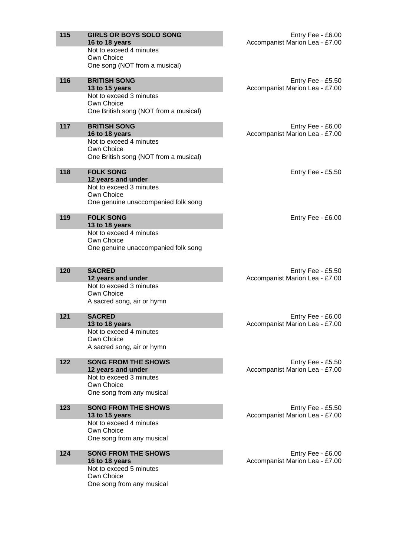| 115 | <b>GIRLS OR BOYS SOLO SONG</b>                    | Entry Fee - £6.00                                   |
|-----|---------------------------------------------------|-----------------------------------------------------|
|     | 16 to 18 years<br>Not to exceed 4 minutes         | Accompanist Marion Lea - £7.00                      |
|     | Own Choice                                        |                                                     |
|     | One song (NOT from a musical)                     |                                                     |
| 116 | <b>BRITISH SONG</b>                               | Entry Fee - £5.50                                   |
|     | 13 to 15 years<br>Not to exceed 3 minutes         | Accompanist Marion Lea - £7.00                      |
|     | Own Choice                                        |                                                     |
|     | One British song (NOT from a musical)             |                                                     |
| 117 | <b>BRITISH SONG</b>                               | Entry Fee - £6.00                                   |
|     | 16 to 18 years                                    | Accompanist Marion Lea - £7.00                      |
|     | Not to exceed 4 minutes<br>Own Choice             |                                                     |
|     | One British song (NOT from a musical)             |                                                     |
| 118 | <b>FOLK SONG</b>                                  | Entry Fee - £5.50                                   |
|     | 12 years and under                                |                                                     |
|     | Not to exceed 3 minutes<br>Own Choice             |                                                     |
|     | One genuine unaccompanied folk song               |                                                     |
| 119 | <b>FOLK SONG</b>                                  | Entry Fee - £6.00                                   |
|     | 13 to 18 years                                    |                                                     |
|     | Not to exceed 4 minutes                           |                                                     |
|     | Own Choice<br>One genuine unaccompanied folk song |                                                     |
|     |                                                   |                                                     |
| 120 | <b>SACRED</b>                                     | Entry Fee - £5.50                                   |
|     | 12 years and under                                | Accompanist Marion Lea - £7.00                      |
|     | Not to exceed 3 minutes<br>Own Choice             |                                                     |
|     | A sacred song, air or hymn                        |                                                     |
| 121 | <b>SACRED</b>                                     | Entry Fee - £6.00                                   |
|     | 13 to 18 years                                    | Accompanist Marion Lea - £7.00                      |
|     | Not to exceed 4 minutes<br>Own Choice             |                                                     |
|     | A sacred song, air or hymn                        |                                                     |
| 122 | <b>SONG FROM THE SHOWS</b>                        | Entry Fee - £5.50                                   |
|     | 12 years and under                                | Accompanist Marion Lea - £7.00                      |
|     | Not to exceed 3 minutes<br>Own Choice             |                                                     |
|     | One song from any musical                         |                                                     |
|     |                                                   |                                                     |
| 123 | <b>SONG FROM THE SHOWS</b><br>13 to 15 years      | Entry Fee - £5.50<br>Accompanist Marion Lea - £7.00 |
|     | Not to exceed 4 minutes                           |                                                     |
|     | Own Choice<br>One song from any musical           |                                                     |
|     |                                                   |                                                     |
| 124 | <b>SONG FROM THE SHOWS</b><br>16 to 18 years      | Entry Fee - £6.00<br>Accompanist Marion Lea - £7.00 |
|     | Not to exceed 5 minutes                           |                                                     |
|     | Own Choice                                        |                                                     |
|     | One song from any musical                         |                                                     |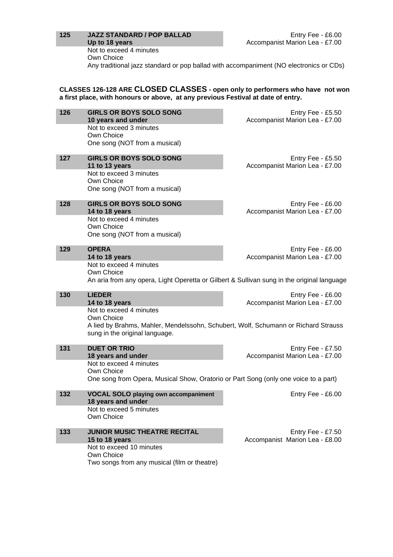#### **125 JAZZ STANDARD / POP BALLAD Up to 18 years**

Not to exceed 4 minutes

Own Choice Any traditional jazz standard or pop ballad with accompaniment (NO electronics or CDs)

**CLASSES 126-128 ARE CLOSED CLASSES - open only to performers who have not won a first place, with honours or above, at any previous Festival at date of entry.**

| 126 | <b>GIRLS OR BOYS SOLO SONG</b><br>10 years and under                                       | Entry Fee - £5.50<br>Accompanist Marion Lea - £7.00 |
|-----|--------------------------------------------------------------------------------------------|-----------------------------------------------------|
|     | Not to exceed 3 minutes                                                                    |                                                     |
|     | Own Choice<br>One song (NOT from a musical)                                                |                                                     |
|     |                                                                                            |                                                     |
| 127 | <b>GIRLS OR BOYS SOLO SONG</b>                                                             | Entry Fee - £5.50                                   |
|     | 11 to 13 years<br>Not to exceed 3 minutes                                                  | Accompanist Marion Lea - £7.00                      |
|     | Own Choice                                                                                 |                                                     |
|     | One song (NOT from a musical)                                                              |                                                     |
| 128 | <b>GIRLS OR BOYS SOLO SONG</b>                                                             | Entry Fee - £6.00                                   |
|     | 14 to 18 years                                                                             | Accompanist Marion Lea - £7.00                      |
|     | Not to exceed 4 minutes<br>Own Choice                                                      |                                                     |
|     | One song (NOT from a musical)                                                              |                                                     |
|     |                                                                                            |                                                     |
| 129 | <b>OPERA</b>                                                                               | Entry Fee - £6.00                                   |
|     | 14 to 18 years<br>Not to exceed 4 minutes                                                  | Accompanist Marion Lea - £7.00                      |
|     | Own Choice                                                                                 |                                                     |
|     | An aria from any opera, Light Operetta or Gilbert & Sullivan sung in the original language |                                                     |
| 130 | <b>LIEDER</b>                                                                              | Entry Fee - £6.00                                   |
|     | 14 to 18 years                                                                             | Accompanist Marion Lea - £7.00                      |
|     | Not to exceed 4 minutes<br>Own Choice                                                      |                                                     |
|     | A lied by Brahms, Mahler, Mendelssohn, Schubert, Wolf, Schumann or Richard Strauss         |                                                     |
|     | sung in the original language.                                                             |                                                     |
| 131 | <b>DUET OR TRIO</b>                                                                        | Entry Fee - £7.50                                   |
|     | 18 years and under                                                                         | Accompanist Marion Lea - £7.00                      |
|     | Not to exceed 4 minutes                                                                    |                                                     |
|     | Own Choice                                                                                 |                                                     |
|     | One song from Opera, Musical Show, Oratorio or Part Song (only one voice to a part)        |                                                     |
| 132 | <b>VOCAL SOLO playing own accompaniment</b>                                                | Entry Fee - £6.00                                   |
|     | 18 years and under<br>Not to exceed 5 minutes                                              |                                                     |
|     | Own Choice                                                                                 |                                                     |
|     |                                                                                            |                                                     |
| 133 | JUNIOR MUSIC THEATRE RECITAL                                                               | Entry Fee - £7.50                                   |
|     | 15 to 18 years<br>Not to exceed 10 minutes                                                 | Accompanist Marion Lea - £8.00                      |
|     | Own Choice                                                                                 |                                                     |
|     | Two songs from any musical (film or theatre)                                               |                                                     |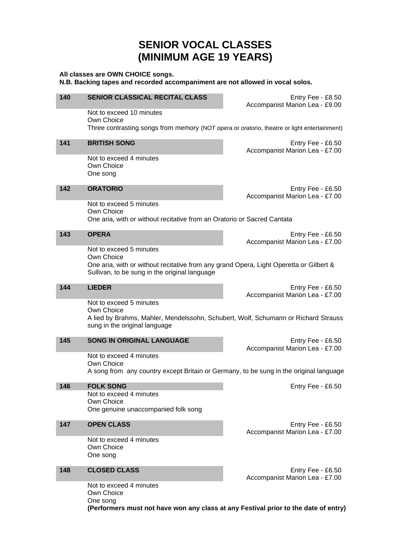# **SENIOR VOCAL CLASSES (MINIMUM AGE 19 YEARS)**

### **All classes are OWN CHOICE songs. N.B. Backing tapes and recorded accompaniment are not allowed in vocal solos. 140 SENIOR CLASSICAL RECITAL CLASS** Entry Fee - £8.50 Accompanist Marion Lea - £9.00 Not to exceed 10 minutes Own Choice Three contrasting songs from memory (NOT opera or oratorio, theatre or light entertainment) **141 BRITISH SONG** Entry Fee - £6.50 Accompanist Marion Lea - £7.00 Not to exceed 4 minutes Own Choice One song **142 ORATORIO** Entry Fee - £6.50 Accompanist Marion Lea - £7.00 Not to exceed 5 minutes Own Choice One aria, with or without recitative from an Oratorio or Sacred Cantata **143 OPERA** Entry Fee - £6.50 Accompanist Marion Lea - £7.00 Not to exceed 5 minutes Own Choice One aria, with or without recitative from any grand Opera, Light Operetta or Gilbert & Sullivan, to be sung in the original language **144 LIEDER** Entry Fee - £6.50 Accompanist Marion Lea - £7.00 Not to exceed 5 minutes Own Choice A lied by Brahms, Mahler, Mendelssohn, Schubert, Wolf, Schumann or Richard Strauss sung in the original language **145 SONG IN ORIGINAL LANGUAGE Entry Fee - £6.50** Accompanist Marion Lea - £7.00 Not to exceed 4 minutes Own Choice A song from any country except Britain or Germany, to be sung in the original language **146 FOLK SONG Entry Fee - £6.50** Not to exceed 4 minutes Own Choice One genuine unaccompanied folk song **147 OPEN CLASS Entry Fee - £6.50** Accompanist Marion Lea - £7.00 Not to exceed 4 minutes Own Choice One song **148 CLOSED CLASS** Entry Fee - £6.50 Accompanist Marion Lea - £7.00 Not to exceed 4 minutes Own Choice One song

**(Performers must not have won any class at any Festival prior to the date of entry)**